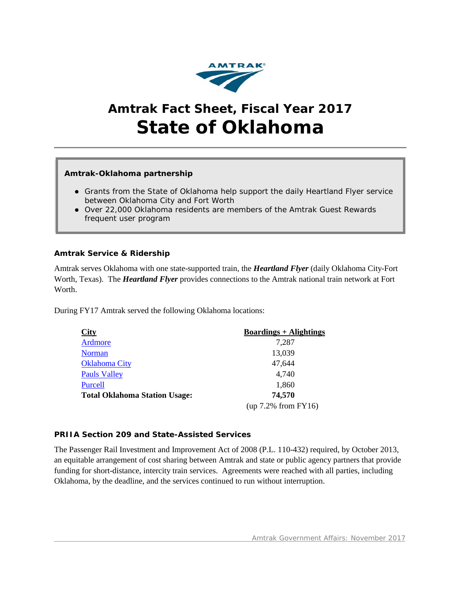

# **Amtrak Fact Sheet, Fiscal Year 2017 State of Oklahoma**

# **Amtrak-Oklahoma partnership**

- Grants from the State of Oklahoma help support the daily *Heartland Flyer* service between Oklahoma City and Fort Worth
- Over 22,000 Oklahoma residents are members of the Amtrak Guest Rewards frequent user program

# **Amtrak Service & Ridership**

Amtrak serves Oklahoma with one state-supported train, the *Heartland Flyer* (daily Oklahoma City-Fort Worth, Texas). The *Heartland Flyer* provides connections to the Amtrak national train network at Fort Worth.

During FY17 Amtrak served the following Oklahoma locations:

| City                                 | <b>Boardings + Alightings</b> |
|--------------------------------------|-------------------------------|
| <b>Ardmore</b>                       | 7,287                         |
| <b>Norman</b>                        | 13,039                        |
| <b>Oklahoma City</b>                 | 47,644                        |
| <b>Pauls Valley</b>                  | 4,740                         |
| Purcell                              | 1,860                         |
| <b>Total Oklahoma Station Usage:</b> | 74,570                        |
|                                      | $(up 7.2\% from FY16)$        |

#### **PRIIA Section 209 and State-Assisted Services**

The Passenger Rail Investment and Improvement Act of 2008 (P.L. 110-432) required, by October 2013, an equitable arrangement of cost sharing between Amtrak and state or public agency partners that provide funding for short-distance, intercity train services. Agreements were reached with all parties, including Oklahoma, by the deadline, and the services continued to run without interruption.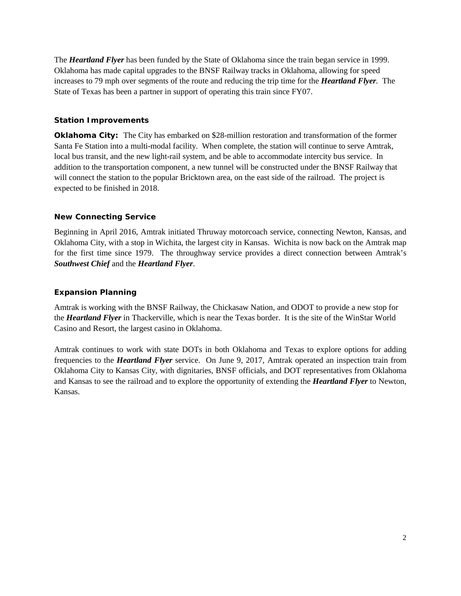The *Heartland Flyer* has been funded by the State of Oklahoma since the train began service in 1999. Oklahoma has made capital upgrades to the BNSF Railway tracks in Oklahoma, allowing for speed increases to 79 mph over segments of the route and reducing the trip time for the *Heartland Flyer.* The State of Texas has been a partner in support of operating this train since FY07.

# **Station Improvements**

**Oklahoma City:** The City has embarked on \$28-million restoration and transformation of the former Santa Fe Station into a multi-modal facility. When complete, the station will continue to serve Amtrak, local bus transit, and the new light-rail system, and be able to accommodate intercity bus service. In addition to the transportation component, a new tunnel will be constructed under the BNSF Railway that will connect the station to the popular Bricktown area, on the east side of the railroad. The project is expected to be finished in 2018.

# **New Connecting Service**

Beginning in April 2016, Amtrak initiated Thruway motorcoach service, connecting Newton, Kansas, and Oklahoma City, with a stop in Wichita, the largest city in Kansas. Wichita is now back on the Amtrak map for the first time since 1979. The throughway service provides a direct connection between Amtrak's *Southwest Chief* and the *Heartland Flyer*.

# **Expansion Planning**

Amtrak is working with the BNSF Railway, the Chickasaw Nation, and ODOT to provide a new stop for the *Heartland Flyer* in Thackerville, which is near the Texas border. It is the site of the WinStar World Casino and Resort, the largest casino in Oklahoma.

Amtrak continues to work with state DOTs in both Oklahoma and Texas to explore options for adding frequencies to the *Heartland Flyer* service. On June 9, 2017, Amtrak operated an inspection train from Oklahoma City to Kansas City, with dignitaries, BNSF officials, and DOT representatives from Oklahoma and Kansas to see the railroad and to explore the opportunity of extending the *Heartland Flyer* to Newton, Kansas.